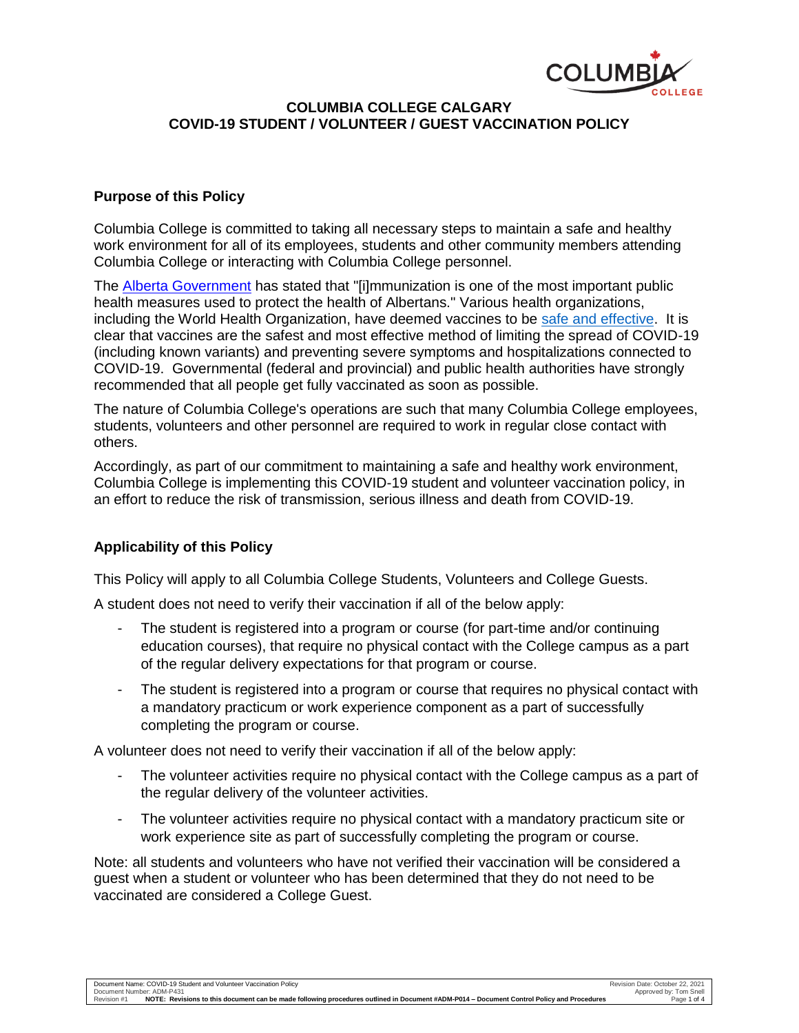

# **COLUMBIA COLLEGE CALGARY COVID-19 STUDENT / VOLUNTEER / GUEST VACCINATION POLICY**

### **Purpose of this Policy**

Columbia College is committed to taking all necessary steps to maintain a safe and healthy work environment for all of its employees, students and other community members attending Columbia College or interacting with Columbia College personnel.

The [Alberta Government](https://www.alberta.ca/alberta-immunization-policy.aspx) has stated that "[i]mmunization is one of the most important public health measures used to protect the health of Albertans." Various health organizations, including the World Health Organization, have deemed vaccines to be [safe and effective.](https://www.who.int/news-room/q-a-detail/coronavirus-disease-(covid-19)-vaccines-safety) It is clear that vaccines are the safest and most effective method of limiting the spread of COVID-19 (including known variants) and preventing severe symptoms and hospitalizations connected to COVID-19. Governmental (federal and provincial) and public health authorities have strongly recommended that all people get fully vaccinated as soon as possible.

The nature of Columbia College's operations are such that many Columbia College employees, students, volunteers and other personnel are required to work in regular close contact with others.

Accordingly, as part of our commitment to maintaining a safe and healthy work environment, Columbia College is implementing this COVID-19 student and volunteer vaccination policy, in an effort to reduce the risk of transmission, serious illness and death from COVID-19.

# **Applicability of this Policy**

This Policy will apply to all Columbia College Students, Volunteers and College Guests.

A student does not need to verify their vaccination if all of the below apply:

- The student is registered into a program or course (for part-time and/or continuing education courses), that require no physical contact with the College campus as a part of the regular delivery expectations for that program or course.
- The student is registered into a program or course that requires no physical contact with a mandatory practicum or work experience component as a part of successfully completing the program or course.

A volunteer does not need to verify their vaccination if all of the below apply:

- The volunteer activities require no physical contact with the College campus as a part of the regular delivery of the volunteer activities.
- The volunteer activities require no physical contact with a mandatory practicum site or work experience site as part of successfully completing the program or course.

Note: all students and volunteers who have not verified their vaccination will be considered a guest when a student or volunteer who has been determined that they do not need to be vaccinated are considered a College Guest.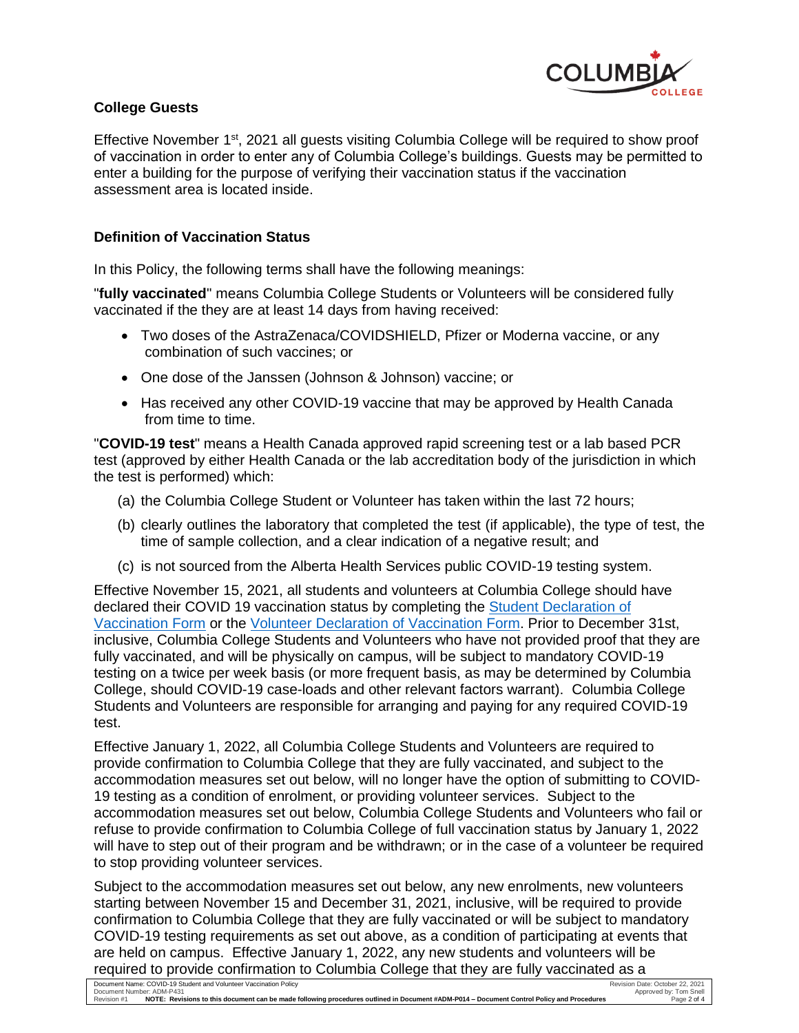

## **College Guests**

Effective November 1st, 2021 all guests visiting Columbia College will be required to show proof of vaccination in order to enter any of Columbia College's buildings. Guests may be permitted to enter a building for the purpose of verifying their vaccination status if the vaccination assessment area is located inside.

### **Definition of Vaccination Status**

In this Policy, the following terms shall have the following meanings:

"**fully vaccinated**" means Columbia College Students or Volunteers will be considered fully vaccinated if the they are at least 14 days from having received:

- Two doses of the AstraZenaca/COVIDSHIELD, Pfizer or Moderna vaccine, or any combination of such vaccines; or
- One dose of the Janssen (Johnson & Johnson) vaccine; or
- Has received any other COVID-19 vaccine that may be approved by Health Canada from time to time.

"**COVID-19 test**" means a Health Canada approved rapid screening test or a lab based PCR test (approved by either Health Canada or the lab accreditation body of the jurisdiction in which the test is performed) which:

- (a) the Columbia College Student or Volunteer has taken within the last 72 hours;
- (b) clearly outlines the laboratory that completed the test (if applicable), the type of test, the time of sample collection, and a clear indication of a negative result; and
- (c) is not sourced from the Alberta Health Services public COVID-19 testing system.

Effective November 15, 2021, all students and volunteers at Columbia College should have declared their COVID 19 vaccination status by completing the [Student Declaration of](https://forms.office.com/Pages/ResponsePage.aspx?id=NIzpCt7gw0SzsQ6hJZuI2dALJcXTZetGnCv01Z0qvRFUNjA3NjE5QVBEOVhVWlVBMUc0MTY4QlU2TC4u)  [Vaccination Form](https://forms.office.com/Pages/ResponsePage.aspx?id=NIzpCt7gw0SzsQ6hJZuI2dALJcXTZetGnCv01Z0qvRFUNjA3NjE5QVBEOVhVWlVBMUc0MTY4QlU2TC4u) or the [Volunteer Declaration of Vaccination Form.](https://forms.office.com/Pages/ResponsePage.aspx?id=NIzpCt7gw0SzsQ6hJZuI2dALJcXTZetGnCv01Z0qvRFURVpXUFk2QUxQSDNBUVdYRTEwQzNFQkpOWS4u) Prior to December 31st, inclusive, Columbia College Students and Volunteers who have not provided proof that they are fully vaccinated, and will be physically on campus, will be subject to mandatory COVID-19 testing on a twice per week basis (or more frequent basis, as may be determined by Columbia College, should COVID-19 case-loads and other relevant factors warrant). Columbia College Students and Volunteers are responsible for arranging and paying for any required COVID-19 test.

Effective January 1, 2022, all Columbia College Students and Volunteers are required to provide confirmation to Columbia College that they are fully vaccinated, and subject to the accommodation measures set out below, will no longer have the option of submitting to COVID-19 testing as a condition of enrolment, or providing volunteer services. Subject to the accommodation measures set out below, Columbia College Students and Volunteers who fail or refuse to provide confirmation to Columbia College of full vaccination status by January 1, 2022 will have to step out of their program and be withdrawn; or in the case of a volunteer be required to stop providing volunteer services.

Subject to the accommodation measures set out below, any new enrolments, new volunteers starting between November 15 and December 31, 2021, inclusive, will be required to provide confirmation to Columbia College that they are fully vaccinated or will be subject to mandatory COVID-19 testing requirements as set out above, as a condition of participating at events that are held on campus. Effective January 1, 2022, any new students and volunteers will be required to provide confirmation to Columbia College that they are fully vaccinated as a<br>Document Name: COVID-19 Student and Volunteer Vaccination Policy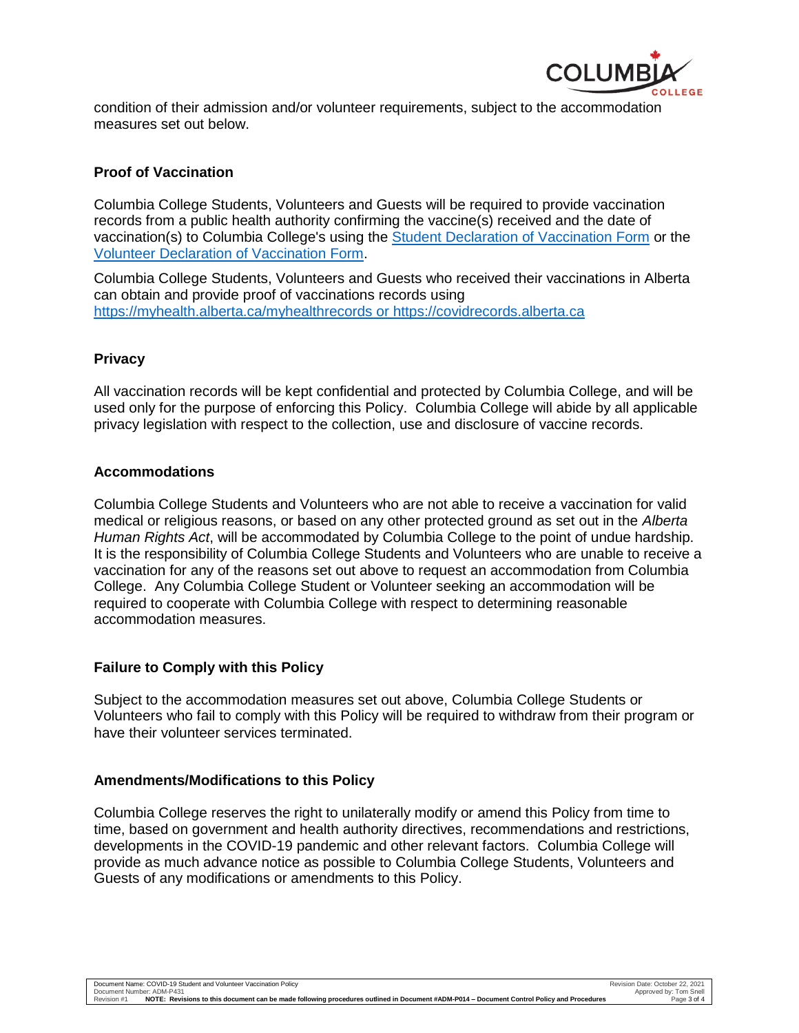

condition of their admission and/or volunteer requirements, subject to the accommodation measures set out below.

## **Proof of Vaccination**

Columbia College Students, Volunteers and Guests will be required to provide vaccination records from a public health authority confirming the vaccine(s) received and the date of vaccination(s) to Columbia College's using the [Student Declaration of Vaccination Form](https://forms.office.com/Pages/ResponsePage.aspx?id=NIzpCt7gw0SzsQ6hJZuI2dALJcXTZetGnCv01Z0qvRFUNjA3NjE5QVBEOVhVWlVBMUc0MTY4QlU2TC4u) or the [Volunteer Declaration of Vaccination Form.](https://forms.office.com/Pages/ResponsePage.aspx?id=NIzpCt7gw0SzsQ6hJZuI2dALJcXTZetGnCv01Z0qvRFURVpXUFk2QUxQSDNBUVdYRTEwQzNFQkpOWS4u)

Columbia College Students, Volunteers and Guests who received their vaccinations in Alberta can obtain and provide proof of vaccinations records using <https://myhealth.alberta.ca/myhealthrecords> or [https://covidrecords.alberta.ca](https://covidrecords.alberta.ca/) 

#### **Privacy**

All vaccination records will be kept confidential and protected by Columbia College, and will be used only for the purpose of enforcing this Policy. Columbia College will abide by all applicable privacy legislation with respect to the collection, use and disclosure of vaccine records.

#### **Accommodations**

Columbia College Students and Volunteers who are not able to receive a vaccination for valid medical or religious reasons, or based on any other protected ground as set out in the *Alberta Human Rights Act*, will be accommodated by Columbia College to the point of undue hardship. It is the responsibility of Columbia College Students and Volunteers who are unable to receive a vaccination for any of the reasons set out above to request an accommodation from Columbia College. Any Columbia College Student or Volunteer seeking an accommodation will be required to cooperate with Columbia College with respect to determining reasonable accommodation measures.

#### **Failure to Comply with this Policy**

Subject to the accommodation measures set out above, Columbia College Students or Volunteers who fail to comply with this Policy will be required to withdraw from their program or have their volunteer services terminated.

#### **Amendments/Modifications to this Policy**

Columbia College reserves the right to unilaterally modify or amend this Policy from time to time, based on government and health authority directives, recommendations and restrictions, developments in the COVID-19 pandemic and other relevant factors. Columbia College will provide as much advance notice as possible to Columbia College Students, Volunteers and Guests of any modifications or amendments to this Policy.